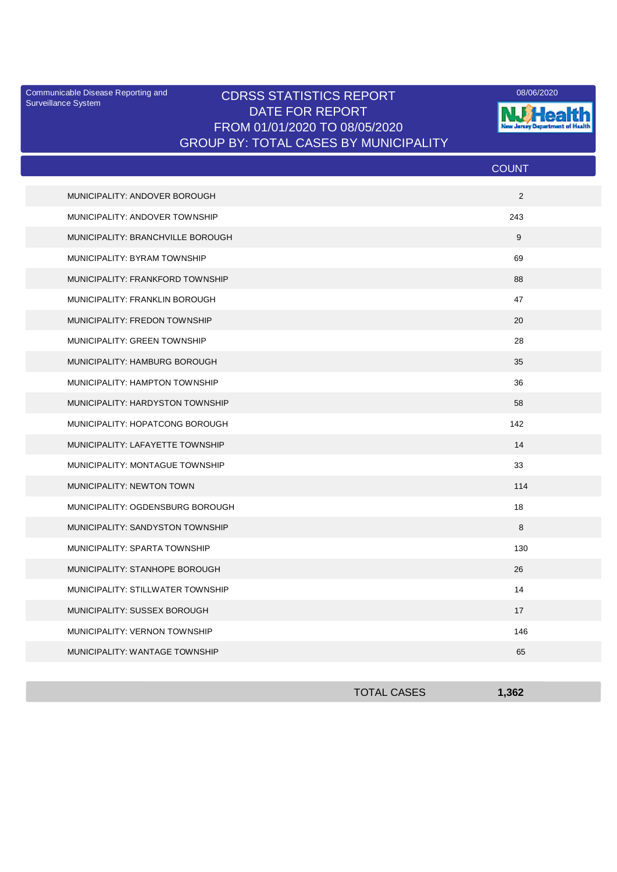Surveillance System

## CDRSS STATISTICS REPORT Communicable Disease Reporting and 08/06/2020 DATE FOR REPORT FROM 01/01/2020 TO 08/05/2020 GROUP BY: TOTAL CASES BY MUNICIPALITY



|                                   | <b>COUNT</b> |
|-----------------------------------|--------------|
| MUNICIPALITY: ANDOVER BOROUGH     | 2            |
| MUNICIPALITY: ANDOVER TOWNSHIP    | 243          |
| MUNICIPALITY: BRANCHVILLE BOROUGH | 9            |
| MUNICIPALITY: BYRAM TOWNSHIP      | 69           |
| MUNICIPALITY: FRANKFORD TOWNSHIP  | 88           |
| MUNICIPALITY: FRANKLIN BOROUGH    | 47           |
| MUNICIPALITY: FREDON TOWNSHIP     | 20           |
| MUNICIPALITY: GREEN TOWNSHIP      | 28           |
| MUNICIPALITY: HAMBURG BOROUGH     | 35           |
| MUNICIPALITY: HAMPTON TOWNSHIP    | 36           |
| MUNICIPALITY: HARDYSTON TOWNSHIP  | 58           |
| MUNICIPALITY: HOPATCONG BOROUGH   | 142          |
| MUNICIPALITY: LAFAYETTE TOWNSHIP  | 14           |
| MUNICIPALITY: MONTAGUE TOWNSHIP   | 33           |
| MUNICIPALITY: NEWTON TOWN         | 114          |
| MUNICIPALITY: OGDENSBURG BOROUGH  | 18           |
| MUNICIPALITY: SANDYSTON TOWNSHIP  | 8            |
| MUNICIPALITY: SPARTA TOWNSHIP     | 130          |
| MUNICIPALITY: STANHOPE BOROUGH    | 26           |
| MUNICIPALITY: STILLWATER TOWNSHIP | 14           |
| MUNICIPALITY: SUSSEX BOROUGH      | 17           |
| MUNICIPALITY: VERNON TOWNSHIP     | 146          |
| MUNICIPALITY: WANTAGE TOWNSHIP    | 65           |

| <b>TOTAL CASES</b> | 1,362 |
|--------------------|-------|
|                    |       |